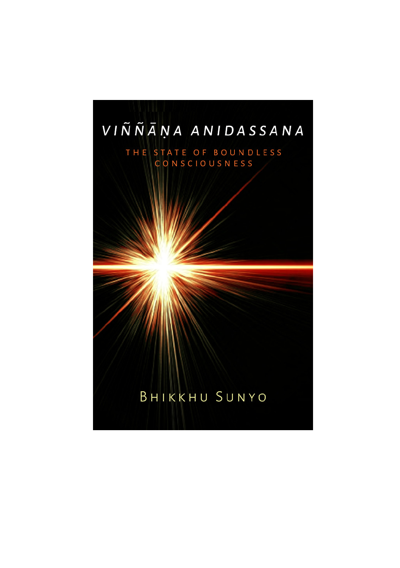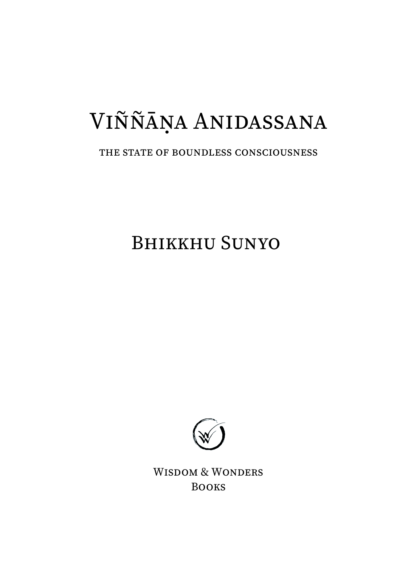# VIÑÑĀṆA ANIDASSANA

#### THE STATE OF BOUNDLESS CONSCIOUSNESS

BHIKKHU SUNYO



WISDOM & WONDERS BOOKS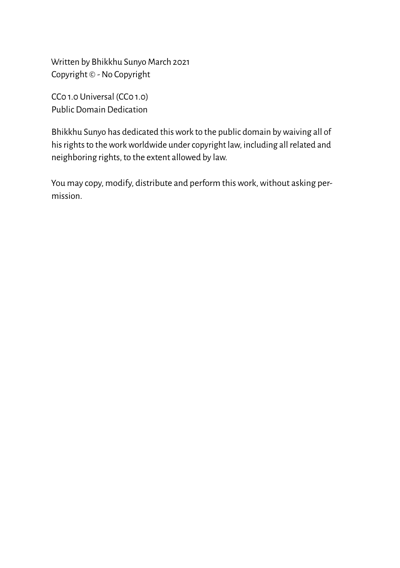Written by Bhikkhu Sunyo March 2021 Copyright © - No Copyright

CC0 1.0 Universal (CC0 1.0) Public Domain Dedication

Bhikkhu Sunyo has dedicated this work to the public domain by waiving all of his rights to the work worldwide under copyright law, including all related and neighboring rights, to the extent allowed by law.

You may copy, modify, distribute and perform this work, without asking permission.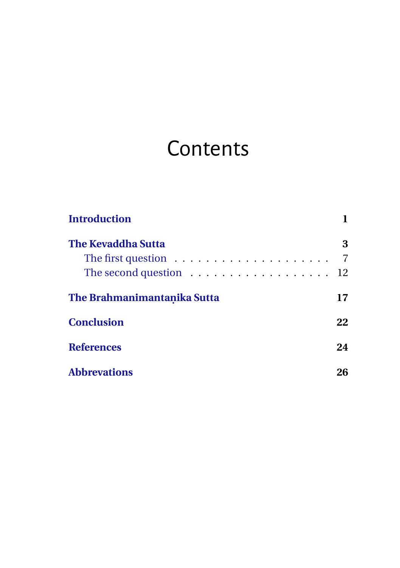### **Contents**

| <b>Introduction</b>                                                |    |
|--------------------------------------------------------------------|----|
| <b>The Kevaddha Sutta</b>                                          | 3  |
| The first question $\ldots \ldots \ldots \ldots \ldots \ldots$     | 7  |
| The second question $\ldots \ldots \ldots \ldots \ldots \ldots$ 12 |    |
| The Brahmanimantanika Sutta                                        | 17 |
| <b>Conclusion</b>                                                  | 22 |
| <b>References</b>                                                  | 24 |
| <b>Abbrevations</b>                                                | 26 |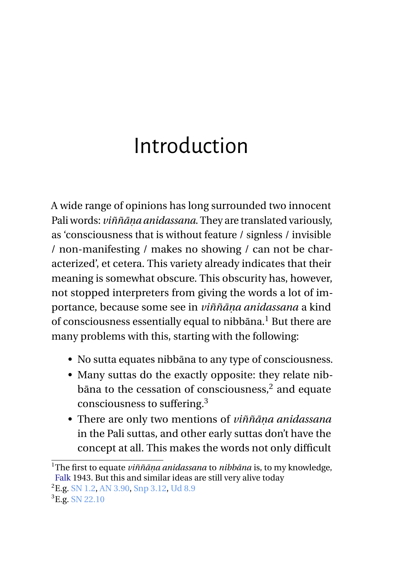### <span id="page-4-0"></span>Introduction

A wide range of opinions has long surrounded two innocent Pali words: *viññāṇa anidassana*. They are translated variously, as 'consciousness that is without feature / signless / invisible / non-manifesting / makes no showing / can not be characterized', et cetera. This variety already indicates that their meaning is somewhat obscure. This obscurity has, however, not stopped interpreters from giving the words a lot of importance, because some see in *viññāṇa anidassana* a kind of consciousness essentially equal to nibbāna.<sup>1</sup> But there are many problems with this, starting with the following:

- No sutta equates nibbāna to any type of consciousness.
- Many suttas do the exactly opposite: they relate nibbāna to the cessation of consciousness, $2$  and equate consciousness to suffering.<sup>3</sup>
- There are only two mentions of *viññāṇa anidassana* in the Pali suttas, and other early suttas don't have the concept at all. This makes the words not only difficult

<sup>2</sup>E.g. [SN 1.2,](https://suttacentral.net/sn1.2) [AN 3.90,](https://suttacentral.net/an3.90) [Snp 3.12,](https://suttacentral.net/snp3.12) [Ud 8.9](https://suttacentral.net/ud8.9)

<sup>1</sup>The first to equate *viññāṇa anidassana* to *nibbāna* is, to my knowledge, [Falk](#page-27-1) 1943. But this and similar ideas are still very alive today

 ${}^{3}E.g. S N 22.10$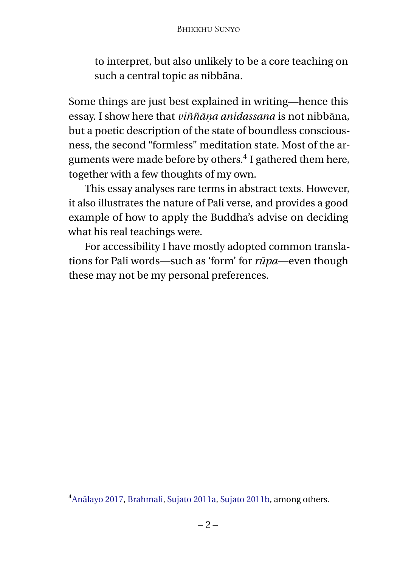to interpret, but also unlikely to be a core teaching on such a central topic as nibbāna.

Some things are just best explained in writing—hence this essay. I show here that *viññāṇa anidassana* is not nibbāna, but a poetic description of the state of boundless consciousness, the second "formless" meditation state. Most of the arguments were made before by others.<sup>4</sup> I gathered them here, together with a few thoughts of my own.

This essay analyses rare terms in abstract texts. However, it also illustrates the nature of Pali verse, and provides a good example of how to apply the Buddha's advise on deciding what his real teachings were.

For accessibility I have mostly adopted common translations for Pali words—such as 'form' for *rūpa*—even though these may not be my personal preferences.

<sup>4</sup>[Anālayo 2017,](#page-27-2) [Brahmali,](#page-27-3) [Sujato 2011a,](#page-28-0) [Sujato 2011b,](#page-28-1) among others.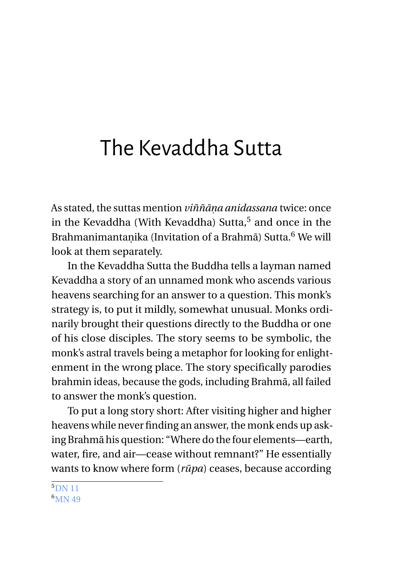### <span id="page-6-0"></span>The Kevaddha Sutta

As stated, the suttas mention *viññāṇa anidassana* twice: once in the Kevaddha (With Kevaddha) Sutta,<sup>5</sup> and once in the Brahmanimantanika (Invitation of a Brahmā) Sutta.<sup>6</sup> We will look at them separately.

In the Kevaddha Sutta the Buddha tells a layman named Kevaddha a story of an unnamed monk who ascends various heavens searching for an answer to a question. This monk's strategy is, to put it mildly, somewhat unusual. Monks ordinarily brought their questions directly to the Buddha or one of his close disciples. The story seems to be symbolic, the monk's astral travels being a metaphor for looking for enlightenment in the wrong place. The story specifically parodies brahmin ideas, because the gods, including Brahmā, all failed to answer the monk's question.

To put a long story short: After visiting higher and higher heavens while never finding an answer, the monk ends up asking Brahmā his question: "Where do the four elements—earth, water, fire, and air—cease without remnant?" He essentially wants to know where form (*rūpa*) ceases, because according

 $5$ <sub>[DN 11](https://suttacentral.net/dn11)</sub> 6<sub>MM</sub> 49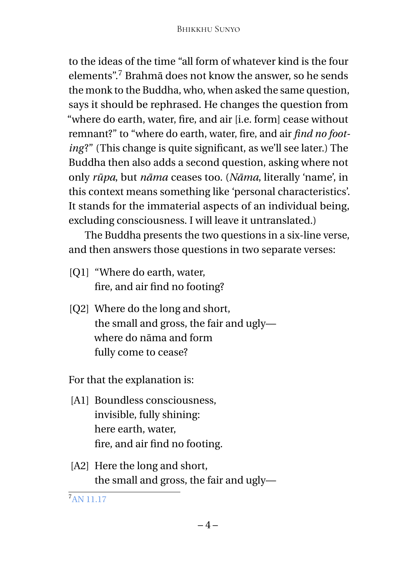to the ideas of the time "all form of whatever kind is the four elements".<sup>7</sup> Brahmā does not know the answer, so he sends the monk to the Buddha, who, when asked the same question, says it should be rephrased. He changes the question from "where do earth, water, fire, and air [i.e. form] cease without remnant?" to "where do earth, water, fire, and air *find no footing*?" (This change is quite significant, as we'll see later.) The Buddha then also adds a second question, asking where not only *rūpa*, but *nāma* ceases too. (*Nāma*, literally 'name', in this context means something like 'personal characteristics'. It stands for the immaterial aspects of an individual being, excluding consciousness. I will leave it untranslated.)

The Buddha presents the two questions in a six-line verse, and then answers those questions in two separate verses:

- [Q1] "Where do earth, water, fire, and air find no footing?
- [Q2] Where do the long and short, the small and gross, the fair and ugly where do nāma and form fully come to cease?

For that the explanation is:

- [A1] Boundless consciousness, invisible, fully shining: here earth, water, fire, and air find no footing.
- [A2] Here the long and short, the small and gross, the fair and ugly—

<sup>7</sup>[AN 11.17](https://suttacentral.net/an11.17)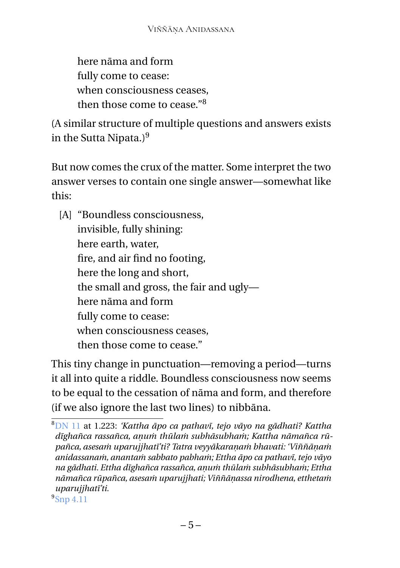here nāma and form fully come to cease: when consciousness ceases, then those come to cease." $8$ 

(A similar structure of multiple questions and answers exists in the Sutta Nipata.) $9$ 

But now comes the crux of the matter. Some interpret the two answer verses to contain one single answer—somewhat like this:

[A] "Boundless consciousness, invisible, fully shining: here earth, water, fire, and air find no footing, here the long and short, the small and gross, the fair and ugly here nāma and form fully come to cease: when consciousness ceases, then those come to cease."

This tiny change in punctuation—removing a period—turns it all into quite a riddle. Boundless consciousness now seems to be equal to the cessation of nāma and form, and therefore (if we also ignore the last two lines) to nibbāna.

9 [Snp 4.11](https://suttacentral.net/snp4.11)

<sup>8</sup>[DN 11](https://suttacentral.net/dn11) at 1.223: *'Kattha āpo ca pathavī, tejo vāyo na gādhati? Kattha dīghañca rassañca, aṇuṁ thūlaṁ subhāsubhaṁ; Kattha nāmañca rūpañca, asesaṁ uparujjhatī'ti? Tatra veyyākaraṇaṁ bhavati: 'Viññāṇaṁ anidassanaṁ, anantaṁ sabbato pabhaṁ; Ettha āpo ca pathavī, tejo vāyo na gādhati. Ettha dīghañca rassañca, aṇuṁ thūlaṁ subhāsubhaṁ; Ettha nāmañca rūpañca, asesaṁ uparujjhati; Viññāṇassa nirodhena, etthetaṁ uparujjhatī'ti.*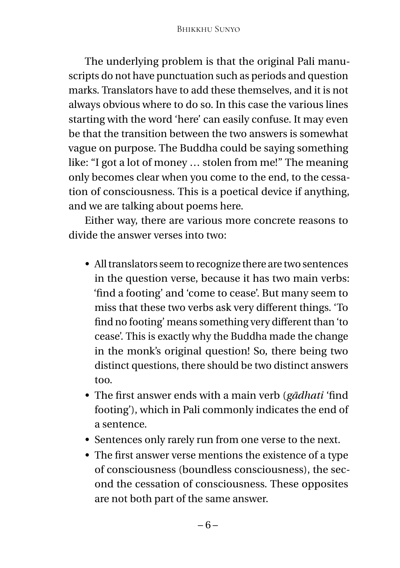The underlying problem is that the original Pali manuscripts do not have punctuation such as periods and question marks. Translators have to add these themselves, and it is not always obvious where to do so. In this case the various lines starting with the word 'here' can easily confuse. It may even be that the transition between the two answers is somewhat vague on purpose. The Buddha could be saying something like: "I got a lot of money … stolen from me!" The meaning only becomes clear when you come to the end, to the cessation of consciousness. This is a poetical device if anything, and we are talking about poems here.

Either way, there are various more concrete reasons to divide the answer verses into two:

- All translators seem to recognize there are two sentences in the question verse, because it has two main verbs: 'find a footing' and 'come to cease'. But many seem to miss that these two verbs ask very different things. 'To find no footing' means something very different than 'to cease'. This is exactly why the Buddha made the change in the monk's original question! So, there being two distinct questions, there should be two distinct answers too.
- The first answer ends with a main verb (*gādhati* 'find footing'), which in Pali commonly indicates the end of a sentence.
- Sentences only rarely run from one verse to the next.
- The first answer verse mentions the existence of a type of consciousness (boundless consciousness), the second the cessation of consciousness. These opposites are not both part of the same answer.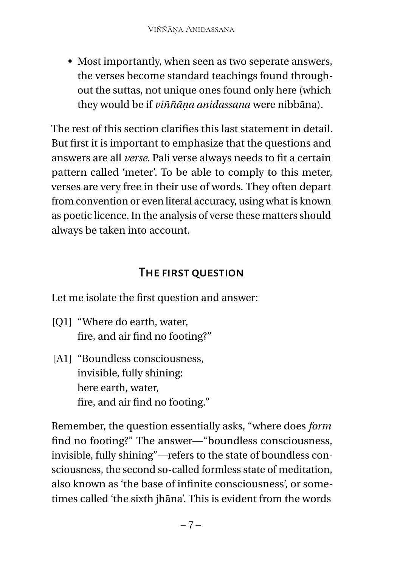• Most importantly, when seen as two seperate answers, the verses become standard teachings found throughout the suttas, not unique ones found only here (which they would be if *viññāṇa anidassana* were nibbāna).

The rest of this section clarifies this last statement in detail. But first it is important to emphasize that the questions and answers are all *verse*. Pali verse always needs to fit a certain pattern called 'meter'. To be able to comply to this meter, verses are very free in their use of words. They often depart from convention or even literal accuracy, using what is known as poetic licence. In the analysis of verse these matters should always be taken into account.

### THE FIRST OUESTION

<span id="page-10-0"></span>Let me isolate the first question and answer:

- [O1] "Where do earth, water, fire, and air find no footing?"
- [A1] "Boundless consciousness, invisible, fully shining: here earth, water, fire, and air find no footing."

Remember, the question essentially asks, "where does *form* find no footing?" The answer—"boundless consciousness, invisible, fully shining"—refers to the state of boundless consciousness, the second so-called formless state of meditation, also known as 'the base of infinite consciousness', or sometimes called 'the sixth jhāna'. This is evident from the words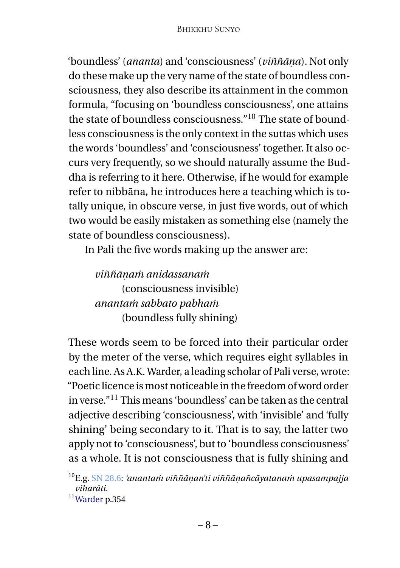'boundless' (*ananta*) and 'consciousness' (*viññāṇa*). Not only do these make up the very name of the state of boundless consciousness, they also describe its attainment in the common formula, "focusing on 'boundless consciousness', one attains the state of boundless consciousness."<sup>10</sup> The state of boundless consciousness is the only context in the suttas which uses the words 'boundless' and 'consciousness' together. It also occurs very frequently, so we should naturally assume the Buddha is referring to it here. Otherwise, if he would for example refer to nibbāna, he introduces here a teaching which is totally unique, in obscure verse, in just five words, out of which two would be easily mistaken as something else (namely the state of boundless consciousness).

In Pali the five words making up the answer are:

*viññāṇaṁ anidassanaṁ* (consciousness invisible) *anantaṁ sabbato pabhaṁ* (boundless fully shining)

These words seem to be forced into their particular order by the meter of the verse, which requires eight syllables in each line. As A.K. Warder, a leading scholar of Pali verse, wrote: "Poetic licence is most noticeable in the freedom of word order in verse."<sup>11</sup> This means 'boundless' can be taken as the central adjective describing 'consciousness', with 'invisible' and 'fully shining' being secondary to it. That is to say, the latter two apply not to 'consciousness', but to 'boundless consciousness' as a whole. It is not consciousness that is fully shining and

<sup>10</sup>E.g. [SN 28.6:](https://suttacentral.net/sn28.6) *'anantaṁ viññāṇan'ti viññāṇañcāyatanaṁ upasampajja viharāti.*

<sup>11</sup>[Warder](#page-28-2) p.354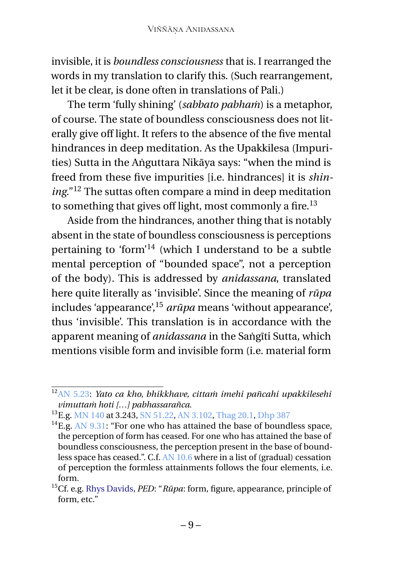invisible, it is *boundless consciousness* that is. I rearranged the words in my translation to clarify this. (Such rearrangement, let it be clear, is done often in translations of Pali.)

The term 'fully shining' (*sabbato pabhaṁ*) is a metaphor, of course. The state of boundless consciousness does not literally give off light. It refers to the absence of the five mental hindrances in deep meditation. As the Upakkilesa (Impurities) Sutta in the Aṅguttara Nikāya says: "when the mind is freed from these five impurities [i.e. hindrances] it is *shining*."<sup>12</sup> The suttas often compare a mind in deep meditation to something that gives off light, most commonly a fire.<sup>13</sup>

Aside from the hindrances, another thing that is notably absent in the state of boundless consciousness is perceptions pertaining to 'form'<sup>14</sup> (which I understand to be a subtle mental perception of "bounded space", not a perception of the body). This is addressed by *anidassana*, translated here quite literally as 'invisible'. Since the meaning of *rūpa* includes 'appearance',<sup>15</sup> *arūpa* means 'without appearance', thus 'invisible'. This translation is in accordance with the apparent meaning of *anidassana* in the Saṅgīti Sutta, which mentions visible form and invisible form (i.e. material form

<sup>12</sup>[AN 5.23:](https://suttacentral.net/an5.23) *Yato ca kho, bhikkhave, cittaṁ imehi pañcahi upakkilesehi vimuttaṁ hoti […] pabhassarañca*.

<sup>13</sup>E.g. [MN 140](https://suttacentral.net/mn140) at 3.243, [SN 51.22,](https://suttacentral.net/sn51.22) [AN 3.102,](https://suttacentral.net/an3.102) [Thag 20.1,](https://suttacentral.net/thag20.1) [Dhp 387](https://suttacentral.net/dhp)

 $^{14}$ E.g. [AN 9.31:](https://suttacentral.net/an9.31) "For one who has attained the base of boundless space, the perception of form has ceased. For one who has attained the base of boundless consciousness, the perception present in the base of boundless space has ceased.". C.f. [AN 10.6](https://suttacentral.net/an10.6) where in a list of (gradual) cessation of perception the formless attainments follows the four elements, i.e. form.

<sup>15</sup>Cf. e.g. [Rhys Davids](#page-27-4)*, PED*: "*Rūpa*: form, figure, appearance, principle of form, etc."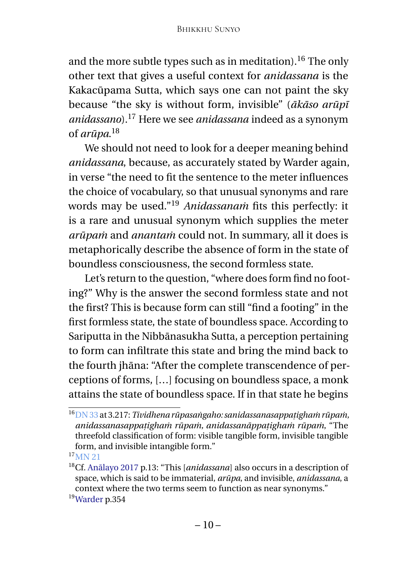and the more subtle types such as in meditation).<sup>16</sup> The only other text that gives a useful context for *anidassana* is the Kakacūpama Sutta, which says one can not paint the sky because "the sky is without form, invisible" (*ākāso arūpī anidassano*).<sup>17</sup> Here we see *anidassana* indeed as a synonym of *arūpa*. 18

We should not need to look for a deeper meaning behind *anidassana*, because, as accurately stated by Warder again, in verse "the need to fit the sentence to the meter influences the choice of vocabulary, so that unusual synonyms and rare words may be used."<sup>19</sup> *Anidassanaṁ* fits this perfectly: it is a rare and unusual synonym which supplies the meter *arūpaṁ* and *anantaṁ* could not. In summary, all it does is metaphorically describe the absence of form in the state of boundless consciousness, the second formless state.

Let's return to the question, "where does form find no footing?" Why is the answer the second formless state and not the first? This is because form can still "find a footing" in the first formless state, the state of boundless space. According to Sariputta in the Nibbānasukha Sutta, a perception pertaining to form can infiltrate this state and bring the mind back to the fourth jhāna: "After the complete transcendence of perceptions of forms, […] focusing on boundless space, a monk attains the state of boundless space. If in that state he begins

<sup>16</sup>[DN 33](https://suttacentral.net/dn33) at 3.217: *Tividhena rūpasaṅgaho: sanidassanasappaṭighaṁ rūpaṁ, anidassanasappaṭighaṁ rūpaṁ, anidassanāppaṭighaṁ rūpaṁ*, "The threefold classification of form: visible tangible form, invisible tangible form, and invisible intangible form."

 $17$ [MN 21](https://suttacentral.net/mn21)

<sup>18</sup>Cf. [Anālayo 2017](#page-27-2) p.13: "This [*anidassana*] also occurs in a description of space, which is said to be immaterial, *arūpa*, and invisible, *anidassana*, a context where the two terms seem to function as near synonyms." <sup>19</sup>[Warder](#page-28-2) p.354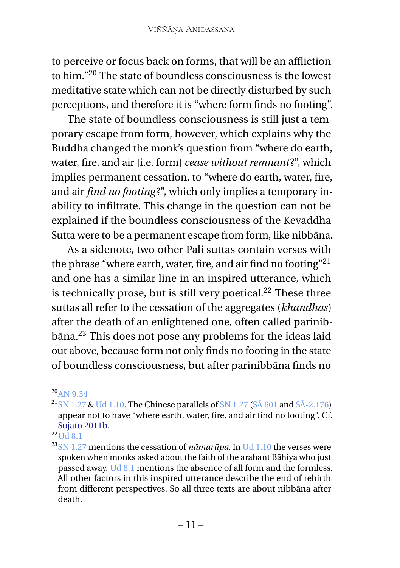to perceive or focus back on forms, that will be an affliction to him."<sup>20</sup> The state of boundless consciousness is the lowest meditative state which can not be directly disturbed by such perceptions, and therefore it is "where form finds no footing".

The state of boundless consciousness is still just a temporary escape from form, however, which explains why the Buddha changed the monk's question from "where do earth, water, fire, and air [i.e. form] *cease without remnant*?", which implies permanent cessation, to "where do earth, water, fire, and air *find no footing* ?", which only implies a temporary inability to infiltrate. This change in the question can not be explained if the boundless consciousness of the Kevaddha Sutta were to be a permanent escape from form, like nibbāna.

As a sidenote, two other Pali suttas contain verses with the phrase "where earth, water, fire, and air find no footing"<sup>21</sup> and one has a similar line in an inspired utterance, which is technically prose, but is still very poetical. $^{22}$  These three suttas all refer to the cessation of the aggregates (*khandhas*) after the death of an enlightened one, often called parinibbāna.<sup>23</sup> This does not pose any problems for the ideas laid out above, because form not only finds no footing in the state of boundless consciousness, but after parinibbāna finds no

 ${}^{22}$ [Ud 8.1](https://suttacentral.net/ud8.1)

<sup>20</sup>[AN 9.34](https://suttacentral.net/an9.34)

<sup>&</sup>lt;sup>21</sup>[SN 1.27](https://suttacentral.net/sn1.27) & [Ud 1.10.](https://suttacentral.net/ud1.10) The Chinese parallels of SN 1.27 ( $S\bar{A}$  601 and  $S\bar{A}$ -2.176) appear not to have "where earth, water, fire, and air find no footing". Cf. [Sujato 2011b.](#page-28-1)

<sup>&</sup>lt;sup>23</sup>[SN 1.27](https://suttacentral.net/sn1.27) mentions the cessation of *nāmarūpa*. In [Ud 1.10](https://suttacentral.net/ud1.10) the verses were spoken when monks asked about the faith of the arahant Bāhiya who just passed away. [Ud 8.1](https://suttacentral.net/ud8.1) mentions the absence of all form and the formless. All other factors in this inspired utterance describe the end of rebirth from different perspectives. So all three texts are about nibbāna after death.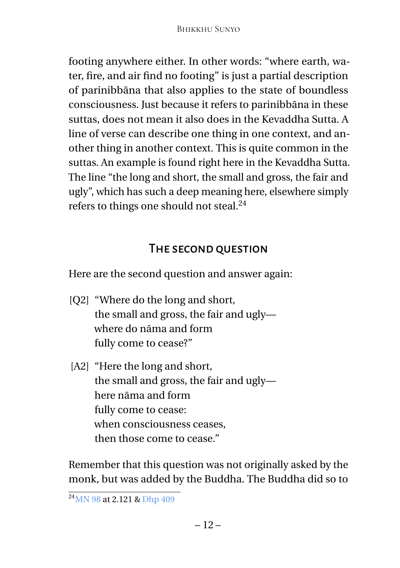footing anywhere either. In other words: "where earth, water, fire, and air find no footing" is just a partial description of parinibbāna that also applies to the state of boundless consciousness. Just because it refers to parinibbāna in these suttas, does not mean it also does in the Kevaddha Sutta. A line of verse can describe one thing in one context, and another thing in another context. This is quite common in the suttas. An example is found right here in the Kevaddha Sutta. The line "the long and short, the small and gross, the fair and ugly", which has such a deep meaning here, elsewhere simply refers to things one should not steal.<sup>24</sup>

#### The second question

<span id="page-15-0"></span>Here are the second question and answer again:

- [Q2] "Where do the long and short, the small and gross, the fair and ugly where do nāma and form fully come to cease?"
- [A2] "Here the long and short, the small and gross, the fair and ugly here nāma and form fully come to cease: when consciousness ceases, then those come to cease."

Remember that this question was not originally asked by the monk, but was added by the Buddha. The Buddha did so to

 $24$ [MN 98](https://suttacentral.net/mn98) at 2.121 & [Dhp 409](https://suttacentral.net/dhp)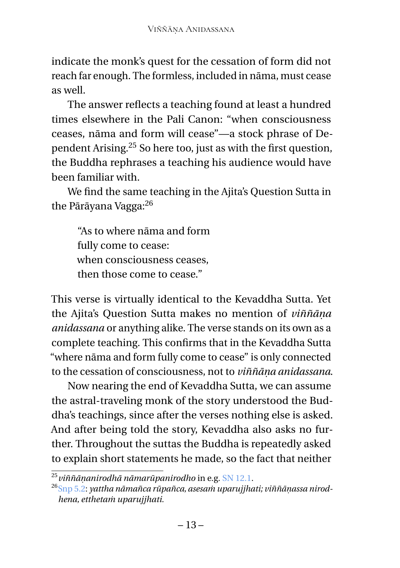indicate the monk's quest for the cessation of form did not reach far enough. The formless, included in nāma, must cease as well.

The answer reflects a teaching found at least a hundred times elsewhere in the Pali Canon: "when consciousness ceases, nāma and form will cease"—a stock phrase of Dependent Arising.<sup>25</sup> So here too, just as with the first question, the Buddha rephrases a teaching his audience would have been familiar with.

We find the same teaching in the Ajita's Question Sutta in the Pārāyana Vagga:<sup>26</sup>

"As to where nāma and form fully come to cease: when consciousness ceases, then those come to cease."

This verse is virtually identical to the Kevaddha Sutta. Yet the Ajita's Question Sutta makes no mention of *viññāṇa anidassana* or anything alike. The verse stands on its own as a complete teaching. This confirms that in the Kevaddha Sutta "where nāma and form fully come to cease" is only connected to the cessation of consciousness, not to *viññāṇa anidassana*.

Now nearing the end of Kevaddha Sutta, we can assume the astral-traveling monk of the story understood the Buddha's teachings, since after the verses nothing else is asked. And after being told the story, Kevaddha also asks no further. Throughout the suttas the Buddha is repeatedly asked to explain short statements he made, so the fact that neither

<sup>25</sup>*viññāṇanirodhā nāmarūpanirodho* in e.g. [SN 12.1.](https://suttacentral.net/sn12.1)

<sup>26</sup>[Snp 5.2:](https://suttacentral.net/snp5.2) *yattha nāmañca rūpañca, asesaṁ uparujjhati; viññāṇassa nirodhena, etthetaṁ uparujjhati.*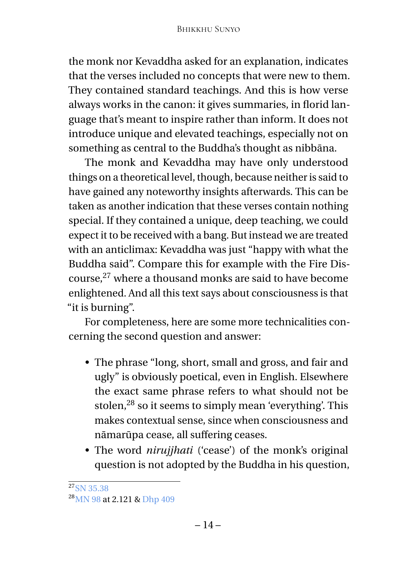the monk nor Kevaddha asked for an explanation, indicates that the verses included no concepts that were new to them. They contained standard teachings. And this is how verse always works in the canon: it gives summaries, in florid language that's meant to inspire rather than inform. It does not introduce unique and elevated teachings, especially not on something as central to the Buddha's thought as nibbāna.

The monk and Kevaddha may have only understood things on a theoretical level, though, because neither is said to have gained any noteworthy insights afterwards. This can be taken as another indication that these verses contain nothing special. If they contained a unique, deep teaching, we could expect it to be received with a bang. But instead we are treated with an anticlimax: Kevaddha was just "happy with what the Buddha said". Compare this for example with the Fire Discourse,<sup>27</sup> where a thousand monks are said to have become enlightened. And all this text says about consciousness is that "it is burning".

For completeness, here are some more technicalities concerning the second question and answer:

- The phrase "long, short, small and gross, and fair and ugly" is obviously poetical, even in English. Elsewhere the exact same phrase refers to what should not be stolen,<sup>28</sup> so it seems to simply mean 'everything'. This makes contextual sense, since when consciousness and nāmarūpa cease, all suffering ceases.
- The word *nirujihati* ('cease') of the monk's original question is not adopted by the Buddha in his question,

 $27$ [SN 35.38](https://suttacentral.net/sn35.38)

<sup>&</sup>lt;sup>28</sup>[MN 98](https://suttacentral.net/mn98) at 2.121 & [Dhp 409](https://suttacentral.net/dhp)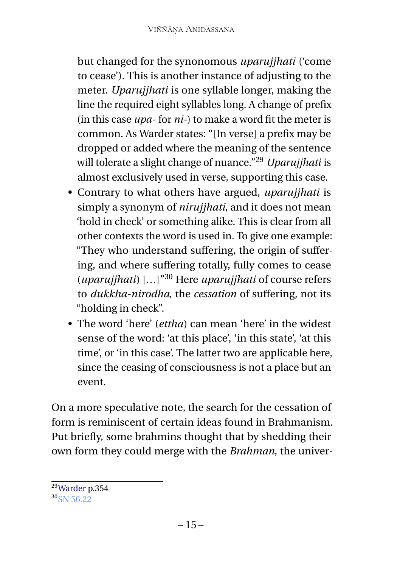but changed for the synonomous *uparujjhati* ('come to cease'). This is another instance of adjusting to the meter. *Uparujjhati* is one syllable longer, making the line the required eight syllables long. A change of prefix (in this case *upa*- for *ni-*) to make a word fit the meter is common. As Warder states: "[In verse] a prefix may be dropped or added where the meaning of the sentence will tolerate a slight change of nuance."<sup>29</sup> *Uparujjhati* is almost exclusively used in verse, supporting this case.

- Contrary to what others have argued, *uparujjhati* is simply a synonym of *nirujjhati*, and it does not mean 'hold in check' or something alike. This is clear from all other contexts the word is used in. To give one example: "They who understand suffering, the origin of suffering, and where suffering totally, fully comes to cease (*uparujjhati*) […]"<sup>30</sup> Here *uparujjhati* of course refers to *dukkha-nirodha*, the *cessation* of suffering, not its "holding in check".
- The word 'here' (*ettha*) can mean 'here' in the widest sense of the word: 'at this place', 'in this state', 'at this time', or 'in this case'. The latter two are applicable here, since the ceasing of consciousness is not a place but an event.

On a more speculative note, the search for the cessation of form is reminiscent of certain ideas found in Brahmanism. Put briefly, some brahmins thought that by shedding their own form they could merge with the *Brahman*, the univer-

<sup>29</sup>[Warder](#page-28-2) p.354

 $30$ [SN 56.22](https://suttacentral.net/sn56.22)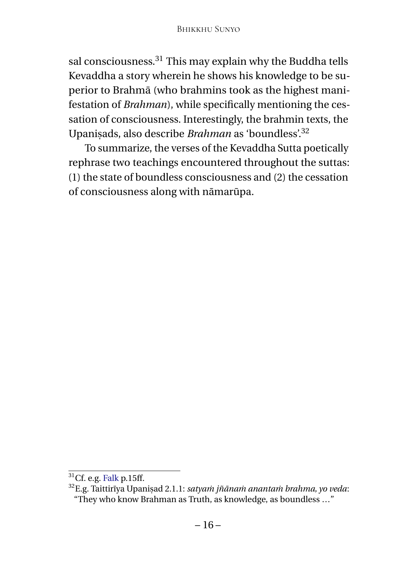sal consciousness.<sup>31</sup> This may explain why the Buddha tells Kevaddha a story wherein he shows his knowledge to be superior to Brahmā (who brahmins took as the highest manifestation of *Brahman*), while specifically mentioning the cessation of consciousness. Interestingly, the brahmin texts, the Upaniṣads, also describe *Brahman* as 'boundless'.<sup>32</sup>

To summarize, the verses of the Kevaddha Sutta poetically rephrase two teachings encountered throughout the suttas: (1) the state of boundless consciousness and (2) the cessation of consciousness along with nāmarūpa.

 $31$ Cf. e.g. [Falk](#page-27-1) p.15ff.

<sup>32</sup>E.g. Taittirīya Upaniṣad 2.1.1: *satyaṁ jñānaṁ anantaṁ brahma, yo veda*: "They who know Brahman as Truth, as knowledge, as boundless …"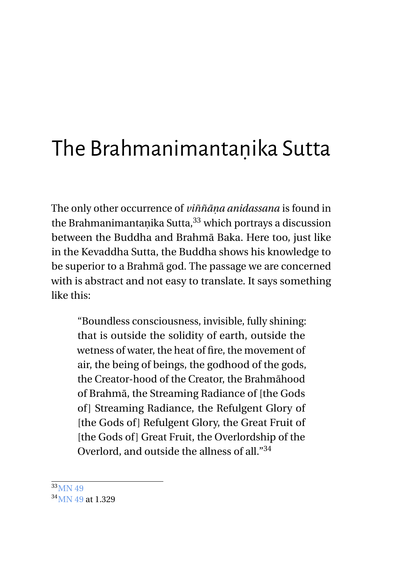## <span id="page-20-0"></span>The Brahmanimantaṇika Sutta

The only other occurrence of *viññāṇa anidassana* is found in the Brahmanimantanika Sutta, $33$  which portrays a discussion between the Buddha and Brahmā Baka. Here too, just like in the Kevaddha Sutta, the Buddha shows his knowledge to be superior to a Brahmā god. The passage we are concerned with is abstract and not easy to translate. It says something like this:

"Boundless consciousness, invisible, fully shining: that is outside the solidity of earth, outside the wetness of water, the heat of fire, the movement of air, the being of beings, the godhood of the gods, the Creator-hood of the Creator, the Brahmāhood of Brahmā, the Streaming Radiance of [the Gods of ] Streaming Radiance, the Refulgent Glory of [the Gods of] Refulgent Glory, the Great Fruit of [the Gods of] Great Fruit, the Overlordship of the Overlord, and outside the allness of all."<sup>34</sup>

<sup>33</sup>[MN 49](https://suttacentral.net/mn49)

<sup>34&</sup>lt;sub>MN</sub> 49 at 1.329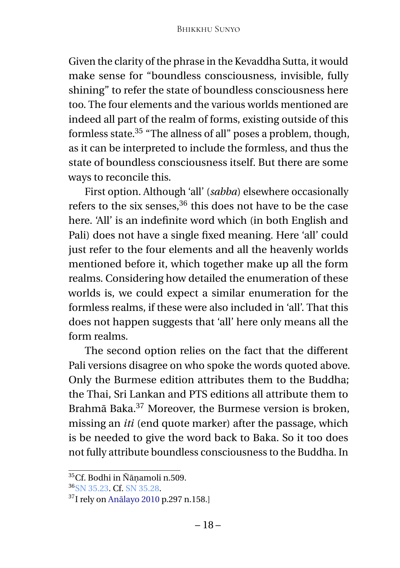Given the clarity of the phrase in the Kevaddha Sutta, it would make sense for "boundless consciousness, invisible, fully shining" to refer the state of boundless consciousness here too. The four elements and the various worlds mentioned are indeed all part of the realm of forms, existing outside of this formless state.<sup>35</sup> "The allness of all" poses a problem, though, as it can be interpreted to include the formless, and thus the state of boundless consciousness itself. But there are some ways to reconcile this.

First option. Although 'all' (*sabba*) elsewhere occasionally refers to the six senses,<sup>36</sup> this does not have to be the case here. 'All' is an indefinite word which (in both English and Pali) does not have a single fixed meaning. Here 'all' could just refer to the four elements and all the heavenly worlds mentioned before it, which together make up all the form realms. Considering how detailed the enumeration of these worlds is, we could expect a similar enumeration for the formless realms, if these were also included in 'all'. That this does not happen suggests that 'all' here only means all the form realms.

The second option relies on the fact that the different Pali versions disagree on who spoke the words quoted above. Only the Burmese edition attributes them to the Buddha; the Thai, Sri Lankan and PTS editions all attribute them to Brahmā Baka.<sup>37</sup> Moreover, the Burmese version is broken, missing an *iti* (end quote marker) after the passage, which is be needed to give the word back to Baka. So it too does not fully attribute boundless consciousness to the Buddha. In

<sup>35</sup>Cf. Bodhi in Ñāṇamoli n.509.

<sup>36</sup>[SN 35.23.](https://suttacentral.net/sn35.23) Cf. [SN 35.28.](https://suttacentral.net/sn35.28)

<sup>37</sup>I rely on [Anālayo 2010](#page-29-1) p.297 n.158.]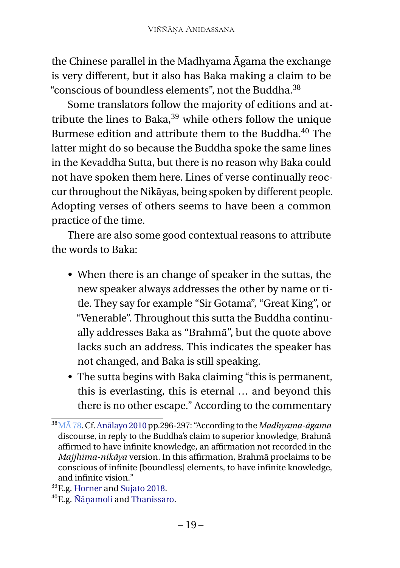the Chinese parallel in the Madhyama Āgama the exchange is very different, but it also has Baka making a claim to be "conscious of boundless elements", not the Buddha.<sup>38</sup>

Some translators follow the majority of editions and attribute the lines to Baka,<sup>39</sup> while others follow the unique Burmese edition and attribute them to the Buddha.<sup>40</sup> The latter might do so because the Buddha spoke the same lines in the Kevaddha Sutta, but there is no reason why Baka could not have spoken them here. Lines of verse continually reoccur throughout the Nikāyas, being spoken by different people. Adopting verses of others seems to have been a common practice of the time.

There are also some good contextual reasons to attribute the words to Baka:

- When there is an change of speaker in the suttas, the new speaker always addresses the other by name or title. They say for example "Sir Gotama", "Great King", or "Venerable". Throughout this sutta the Buddha continually addresses Baka as "Brahmā", but the quote above lacks such an address. This indicates the speaker has not changed, and Baka is still speaking.
- The sutta begins with Baka claiming "this is permanent, this is everlasting, this is eternal … and beyond this there is no other escape." According to the commentary

<sup>38</sup>[MĀ 78.](https://suttacentral.net/ma78) Cf. [Anālayo 2010](#page-29-1) pp.296-297: "According to the *Madhyama-āgama* discourse, in reply to the Buddha's claim to superior knowledge, Brahmā affirmed to have infinite knowledge, an affirmation not recorded in the *Majjhima-nikāya* version. In this affirmation, Brahmā proclaims to be conscious of infinite [boundless] elements, to have infinite knowledge, and infinite vision."

<sup>39</sup>E.g. [Horner](#page-27-5) and [Sujato 2018.](#page-28-3)

<sup>40</sup>E.g. [Ñāṇamoli](#page-27-6) and [Thanissaro.](#page-28-4)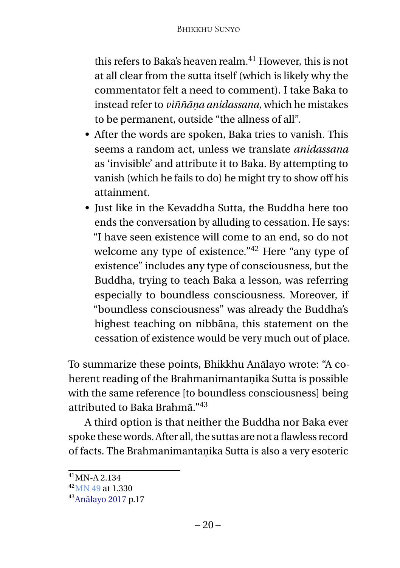this refers to Baka's heaven realm. $41$  However, this is not at all clear from the sutta itself (which is likely why the commentator felt a need to comment). I take Baka to instead refer to *viññāṇa anidassana*, which he mistakes to be permanent, outside "the allness of all".

- After the words are spoken, Baka tries to vanish. This seems a random act, unless we translate *anidassana* as 'invisible' and attribute it to Baka. By attempting to vanish (which he fails to do) he might try to show off his attainment.
- Just like in the Kevaddha Sutta, the Buddha here too ends the conversation by alluding to cessation. He says: "I have seen existence will come to an end, so do not welcome any type of existence."<sup>42</sup> Here "any type of existence" includes any type of consciousness, but the Buddha, trying to teach Baka a lesson, was referring especially to boundless consciousness. Moreover, if "boundless consciousness" was already the Buddha's highest teaching on nibbāna, this statement on the cessation of existence would be very much out of place.

To summarize these points, Bhikkhu Anālayo wrote: "A coherent reading of the Brahmanimantaṇika Sutta is possible with the same reference [to boundless consciousness] being attributed to Baka Brahmā."<sup>43</sup>

A third option is that neither the Buddha nor Baka ever spoke these words. After all, the suttas are not a flawless record of facts. The Brahmanimantaṇika Sutta is also a very esoteric

 $41$ MN-A 2.134

 $42$ [MN 49](https://suttacentral.net/mn49) at 1.330

<sup>43</sup>[Anālayo 2017](#page-27-2) p.17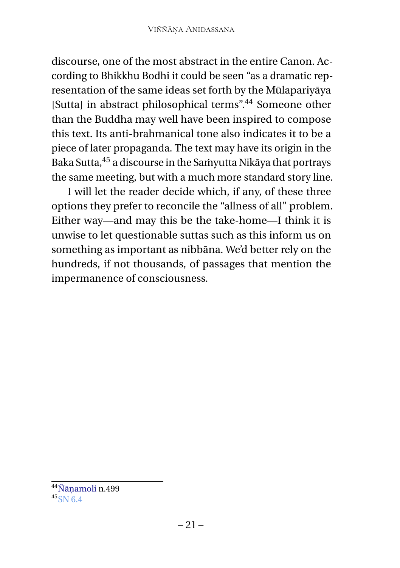discourse, one of the most abstract in the entire Canon. According to Bhikkhu Bodhi it could be seen "as a dramatic representation of the same ideas set forth by the Mūlapariyāya [Sutta] in abstract philosophical terms".<sup>44</sup> Someone other than the Buddha may well have been inspired to compose this text. Its anti-brahmanical tone also indicates it to be a piece of later propaganda. The text may have its origin in the Baka Sutta,<sup>45</sup> a discourse in the Saṁyutta Nikāya that portrays the same meeting, but with a much more standard story line.

I will let the reader decide which, if any, of these three options they prefer to reconcile the "allness of all" problem. Either way—and may this be the take-home—I think it is unwise to let questionable suttas such as this inform us on something as important as nibbāna. We'd better rely on the hundreds, if not thousands, of passages that mention the impermanence of consciousness.

<sup>44</sup>[Ñāṇamoli](#page-27-6) n.499

<sup>45</sup>[SN 6.4](https://suttacentral.net/sn6.4)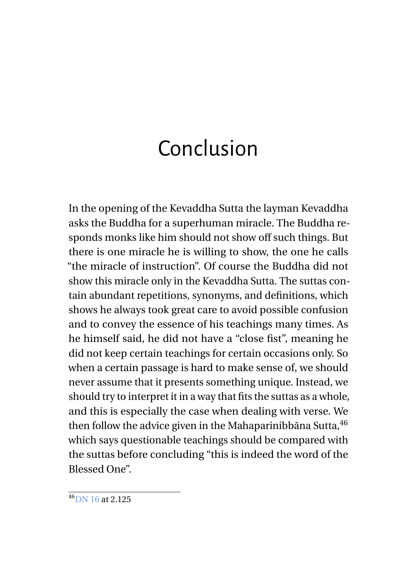## <span id="page-25-0"></span>Conclusion

In the opening of the Kevaddha Sutta the layman Kevaddha asks the Buddha for a superhuman miracle. The Buddha responds monks like him should not show off such things. But there is one miracle he is willing to show, the one he calls "the miracle of instruction". Of course the Buddha did not show this miracle only in the Kevaddha Sutta. The suttas contain abundant repetitions, synonyms, and definitions, which shows he always took great care to avoid possible confusion and to convey the essence of his teachings many times. As he himself said, he did not have a "close fist", meaning he did not keep certain teachings for certain occasions only. So when a certain passage is hard to make sense of, we should never assume that it presents something unique. Instead, we should try to interpret it in a way that fits the suttas as a whole, and this is especially the case when dealing with verse. We then follow the advice given in the Mahaparinibbāna Sutta,  $46$ which says questionable teachings should be compared with the suttas before concluding "this is indeed the word of the Blessed One".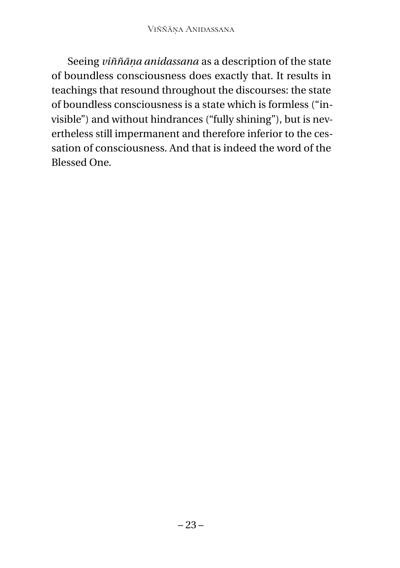Seeing *viññāṇa anidassana* as a description of the state of boundless consciousness does exactly that. It results in teachings that resound throughout the discourses: the state of boundless consciousness is a state which is formless ("invisible") and without hindrances ("fully shining"), but is nevertheless still impermanent and therefore inferior to the cessation of consciousness. And that is indeed the word of the Blessed One.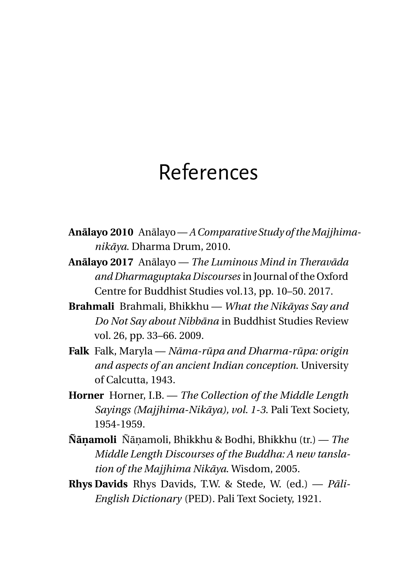### <span id="page-27-0"></span>References

- **Anālayo 2010** Anālayo—*A Comparative Study of theMajjhimanikāya*. Dharma Drum, 2010.
- <span id="page-27-2"></span>**Anālayo 2017** Anālayo — *The Luminous Mind in Theravāda and Dharmaguptaka Discourses* in Journal of the Oxford Centre for Buddhist Studies vol.13, pp. 10–50. 2017.
- <span id="page-27-3"></span>**Brahmali** Brahmali, Bhikkhu — *What the Nikāyas Say and Do Not Say about Nibbāna* in Buddhist Studies Review vol. 26, pp. 33–66. 2009.
- <span id="page-27-1"></span>**Falk** Falk, Maryla — *Nāma-rūpa and Dharma-rūpa: origin and aspects of an ancient Indian conception*. University of Calcutta, 1943.
- <span id="page-27-5"></span>**Horner** Horner, I.B. — *The Collection of the Middle Length Sayings (Majjhima-Nikāya), vol. 1-3*. Pali Text Society, 1954-1959.
- <span id="page-27-6"></span>**Ñāṇamoli** Ñāṇamoli, Bhikkhu & Bodhi, Bhikkhu (tr.) — *The Middle Length Discourses of the Buddha: A new tanslation of the Majjhima Nikāya*. Wisdom, 2005.
- <span id="page-27-4"></span>**Rhys Davids** Rhys Davids, T.W. & Stede, W. (ed.) — *Pāli-English Dictionary* (PED). Pali Text Society, 1921.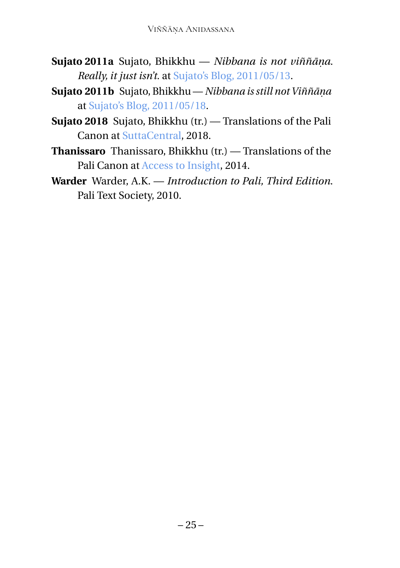- <span id="page-28-0"></span>**Sujato 2011a** Sujato, Bhikkhu — *Nibbana is not viññāṇa. Really, it just isn't.* at [Sujato's Blog, 2011/05/13.](https://sujato.wordpress.com/2011/05/13//vinnaṇa-is-not-nibbana-really-it-just-isn’t/)
- <span id="page-28-1"></span>**Sujato 2011b** Sujato, Bhikkhu — *Nibbana is still not Viññāṇa* at [Sujato's Blog, 2011/05/18.](https://sujato.wordpress.com/2011/05/18)
- <span id="page-28-3"></span>**Sujato 2018** Sujato, Bhikkhu (tr.) — Translations of the Pali Canon at [SuttaCentral,](https://suttacentral.net) 2018.
- <span id="page-28-4"></span>**Thanissaro** Thanissaro, Bhikkhu (tr.) — Translations of the Pali Canon at [Access to Insight,](http://www.accesstoinsight.org) 2014.
- <span id="page-28-2"></span>**Warder** Warder, A.K. — *Introduction to Pali, Third Edition*. Pali Text Society, 2010.